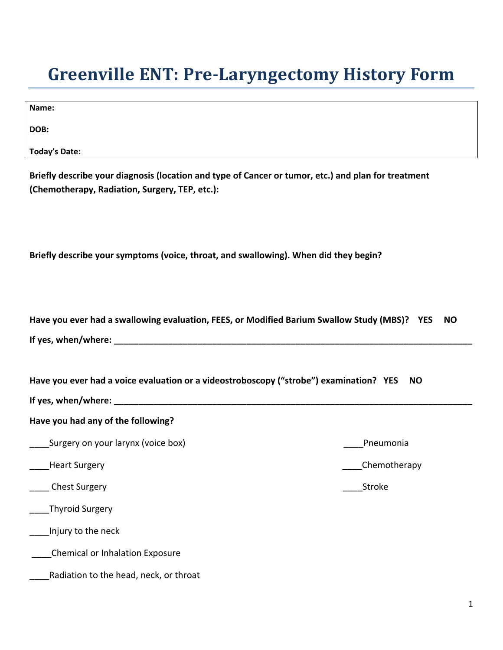## **Greenville ENT: Pre-Laryngectomy History Form**

**DOB:** 

**Today's Date:** 

| Briefly describe your diagnosis (location and type of Cancer or tumor, etc.) and plan for treatment |
|-----------------------------------------------------------------------------------------------------|
| (Chemotherapy, Radiation, Surgery, TEP, etc.):                                                      |

**Briefly describe your symptoms (voice, throat, and swallowing). When did they begin?**

| Have you ever had a swallowing evaluation, FEES, or Modified Barium Swallow Study (MBS)? YES<br><b>NO</b> |              |  |  |  |  |
|-----------------------------------------------------------------------------------------------------------|--------------|--|--|--|--|
|                                                                                                           |              |  |  |  |  |
| Have you ever had a voice evaluation or a videostroboscopy ("strobe") examination? YES<br><b>NO</b>       |              |  |  |  |  |
| Have you had any of the following?                                                                        |              |  |  |  |  |
| Surgery on your larynx (voice box)                                                                        | Pneumonia    |  |  |  |  |
| ____Heart Surgery                                                                                         | Chemotherapy |  |  |  |  |
| _____ Chest Surgery                                                                                       | Stroke       |  |  |  |  |
| ___Thyroid Surgery                                                                                        |              |  |  |  |  |
| Injury to the neck                                                                                        |              |  |  |  |  |
| Chemical or Inhalation Exposure                                                                           |              |  |  |  |  |
| Radiation to the head, neck, or throat                                                                    |              |  |  |  |  |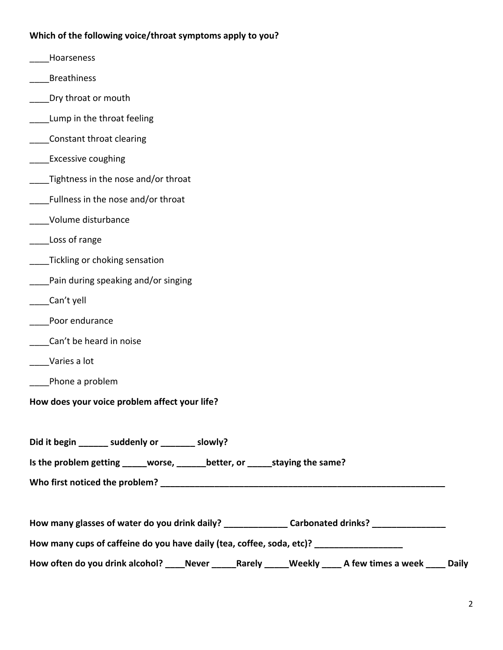## **Which of the following voice/throat symptoms apply to you?**

- \_\_\_\_Hoarseness
- \_\_\_\_Breathiness
- **EXECO** Dry throat or mouth
- Lump in the throat feeling
- \_\_\_\_Constant throat clearing
- Excessive coughing
- Tightness in the nose and/or throat
- \_\_\_\_Fullness in the nose and/or throat
- \_\_\_\_Volume disturbance
- Loss of range
- **Tickling or choking sensation**
- Pain during speaking and/or singing
- \_\_\_\_Can't yell
- \_\_\_\_Poor endurance
- \_\_\_\_Can't be heard in noise
- \_\_\_\_Varies a lot
- \_\_\_\_Phone a problem
- **How does your voice problem affect your life?**

**Did it begin \_\_\_\_\_\_ suddenly or \_\_\_\_\_\_\_ slowly?**

**Is the problem getting \_\_\_\_\_worse, \_\_\_\_\_\_better, or \_\_\_\_\_staying the same?**

**Who first noticed the problem? \_\_\_\_\_\_\_\_\_\_\_\_\_\_\_\_\_\_\_\_\_\_\_\_\_\_\_\_\_\_\_\_\_\_\_\_\_\_\_\_\_\_\_\_\_\_\_\_\_\_\_\_\_\_\_\_\_\_**

**How many glasses of water do you drink daily? \_\_\_\_\_\_\_\_\_\_\_\_\_ Carbonated drinks? \_\_\_\_\_\_\_\_\_\_\_\_\_\_\_**

**How many cups of caffeine do you have daily (tea, coffee, soda, etc)? \_\_\_\_\_\_\_\_\_\_\_\_\_\_\_\_\_\_**

How often do you drink alcohol? \_\_\_\_Never \_\_\_\_\_Rarely \_\_\_\_\_Weekly \_\_\_\_ A few times a week \_\_\_\_ Daily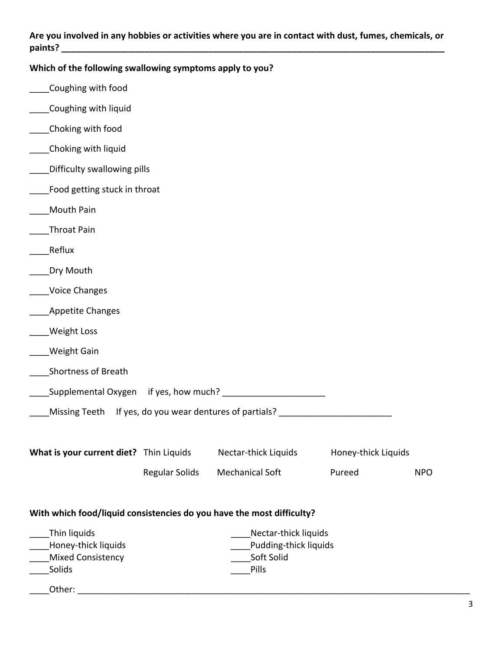## **Are you involved in any hobbies or activities where you are in contact with dust, fumes, chemicals, or paints? \_\_\_\_\_\_\_\_\_\_\_\_\_\_\_\_\_\_\_\_\_\_\_\_\_\_\_\_\_\_\_\_\_\_\_\_\_\_\_\_\_\_\_\_\_\_\_\_\_\_\_\_\_\_\_\_\_\_\_\_\_\_\_\_\_\_\_\_\_\_\_\_\_\_\_\_\_\_**

| Which of the following swallowing symptoms apply to you?              |                                     |                        |                     |            |  |
|-----------------------------------------------------------------------|-------------------------------------|------------------------|---------------------|------------|--|
| Coughing with food                                                    |                                     |                        |                     |            |  |
| Coughing with liquid                                                  |                                     |                        |                     |            |  |
| _Choking with food                                                    |                                     |                        |                     |            |  |
| __Choking with liquid                                                 |                                     |                        |                     |            |  |
| Difficulty swallowing pills                                           |                                     |                        |                     |            |  |
| Food getting stuck in throat                                          |                                     |                        |                     |            |  |
| Mouth Pain                                                            |                                     |                        |                     |            |  |
| Throat Pain                                                           |                                     |                        |                     |            |  |
| Reflux                                                                |                                     |                        |                     |            |  |
| Dry Mouth                                                             |                                     |                        |                     |            |  |
| <b>Voice Changes</b>                                                  |                                     |                        |                     |            |  |
| <b>Appetite Changes</b>                                               |                                     |                        |                     |            |  |
| Weight Loss                                                           |                                     |                        |                     |            |  |
| Weight Gain                                                           |                                     |                        |                     |            |  |
| Shortness of Breath                                                   |                                     |                        |                     |            |  |
|                                                                       |                                     |                        |                     |            |  |
| Missing Teeth If yes, do you wear dentures of partials?               |                                     |                        |                     |            |  |
|                                                                       |                                     |                        |                     |            |  |
| What is your current diet? Thin Liquids                               |                                     | Nectar-thick Liquids   | Honey-thick Liquids |            |  |
|                                                                       | <b>Regular Solids</b>               | <b>Mechanical Soft</b> | Pureed              | <b>NPO</b> |  |
| With which food/liquid consistencies do you have the most difficulty? |                                     |                        |                     |            |  |
| Thin liquids                                                          | Nectar-thick liquids                |                        |                     |            |  |
| Honey-thick liquids<br>Mixed Consistency                              | Pudding-thick liquids<br>Soft Solid |                        |                     |            |  |
| Solids                                                                |                                     | Pills                  |                     |            |  |
| Other:                                                                |                                     |                        |                     |            |  |